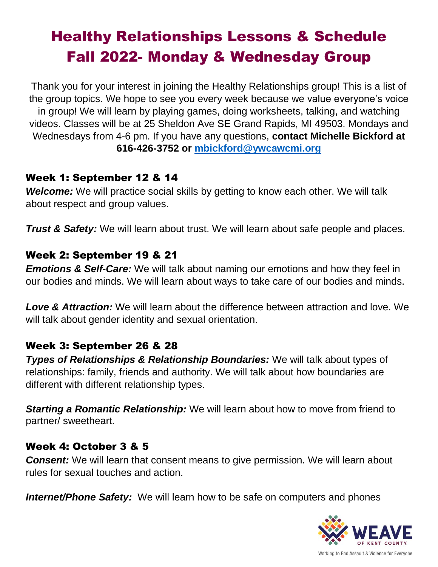# Healthy Relationships Lessons & Schedule Fall 2022- Monday & Wednesday Group

Thank you for your interest in joining the Healthy Relationships group! This is a list of the group topics. We hope to see you every week because we value everyone's voice in group! We will learn by playing games, doing worksheets, talking, and watching videos. Classes will be at 25 Sheldon Ave SE Grand Rapids, MI 49503. Mondays and Wednesdays from 4-6 pm. If you have any questions, **contact Michelle Bickford at 616-426-3752 or [mbickford@ywcawcmi.org](mailto:mbickford@ywcawcmi.org)**

#### Week 1: September 12 & 14

*Welcome:* We will practice social skills by getting to know each other. We will talk about respect and group values.

*Trust & Safety:* We will learn about trust. We will learn about safe people and places.

## Week 2: September 19 & 21

*Emotions & Self-Care:* We will talk about naming our emotions and how they feel in our bodies and minds. We will learn about ways to take care of our bodies and minds.

*Love & Attraction:* We will learn about the difference between attraction and love. We will talk about gender identity and sexual orientation.

# Week 3: September 26 & 28

*Types of Relationships & Relationship Boundaries:* We will talk about types of relationships: family, friends and authority. We will talk about how boundaries are different with different relationship types.

*Starting a Romantic Relationship:* We will learn about how to move from friend to partner/ sweetheart.

# Week 4: October 3 & 5

**Consent:** We will learn that consent means to give permission. We will learn about rules for sexual touches and action.

**Internet/Phone Safety:** We will learn how to be safe on computers and phones